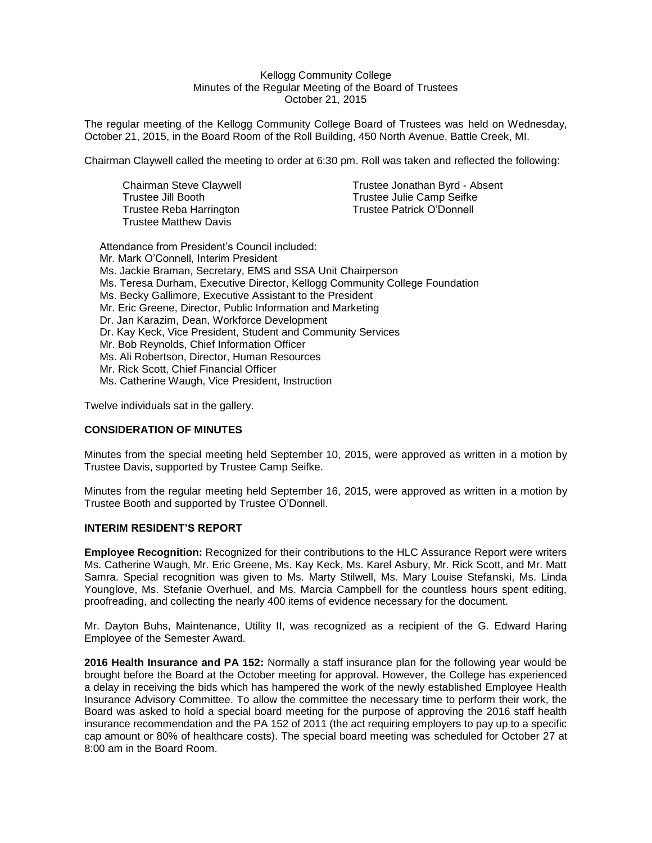#### Kellogg Community College Minutes of the Regular Meeting of the Board of Trustees October 21, 2015

The regular meeting of the Kellogg Community College Board of Trustees was held on Wednesday, October 21, 2015, in the Board Room of the Roll Building, 450 North Avenue, Battle Creek, MI.

Chairman Claywell called the meeting to order at 6:30 pm. Roll was taken and reflected the following:

Trustee Reba Harrington Trustee Patrick O'Donnell Trustee Matthew Davis

Chairman Steve Claywell Trustee Jonathan Byrd - Absent Trustee Jill Booth Trustee Julie Camp Seifke

Attendance from President's Council included: Mr. Mark O'Connell, Interim President Ms. Jackie Braman, Secretary, EMS and SSA Unit Chairperson Ms. Teresa Durham, Executive Director, Kellogg Community College Foundation Ms. Becky Gallimore, Executive Assistant to the President Mr. Eric Greene, Director, Public Information and Marketing Dr. Jan Karazim, Dean, Workforce Development Dr. Kay Keck, Vice President, Student and Community Services Mr. Bob Reynolds, Chief Information Officer Ms. Ali Robertson, Director, Human Resources Mr. Rick Scott, Chief Financial Officer Ms. Catherine Waugh, Vice President, Instruction

Twelve individuals sat in the gallery.

### **CONSIDERATION OF MINUTES**

Minutes from the special meeting held September 10, 2015, were approved as written in a motion by Trustee Davis, supported by Trustee Camp Seifke.

Minutes from the regular meeting held September 16, 2015, were approved as written in a motion by Trustee Booth and supported by Trustee O'Donnell.

### **INTERIM RESIDENT'S REPORT**

**Employee Recognition:** Recognized for their contributions to the HLC Assurance Report were writers Ms. Catherine Waugh, Mr. Eric Greene, Ms. Kay Keck, Ms. Karel Asbury, Mr. Rick Scott, and Mr. Matt Samra. Special recognition was given to Ms. Marty Stilwell, Ms. Mary Louise Stefanski, Ms. Linda Younglove, Ms. Stefanie Overhuel, and Ms. Marcia Campbell for the countless hours spent editing, proofreading, and collecting the nearly 400 items of evidence necessary for the document.

Mr. Dayton Buhs, Maintenance, Utility II, was recognized as a recipient of the G. Edward Haring Employee of the Semester Award.

**2016 Health Insurance and PA 152:** Normally a staff insurance plan for the following year would be brought before the Board at the October meeting for approval. However, the College has experienced a delay in receiving the bids which has hampered the work of the newly established Employee Health Insurance Advisory Committee. To allow the committee the necessary time to perform their work, the Board was asked to hold a special board meeting for the purpose of approving the 2016 staff health insurance recommendation and the PA 152 of 2011 (the act requiring employers to pay up to a specific cap amount or 80% of healthcare costs). The special board meeting was scheduled for October 27 at 8:00 am in the Board Room.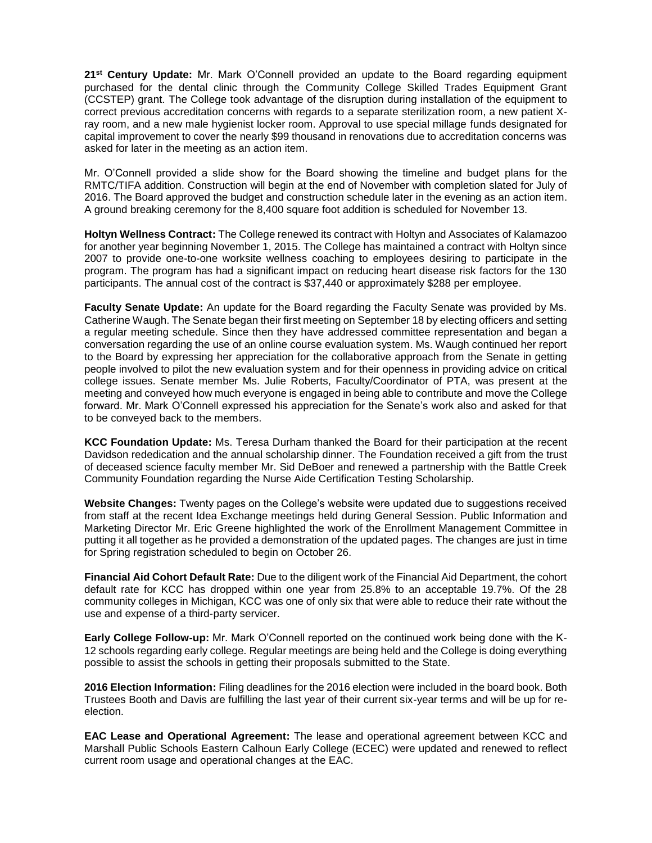**21st Century Update:** Mr. Mark O'Connell provided an update to the Board regarding equipment purchased for the dental clinic through the Community College Skilled Trades Equipment Grant (CCSTEP) grant. The College took advantage of the disruption during installation of the equipment to correct previous accreditation concerns with regards to a separate sterilization room, a new patient Xray room, and a new male hygienist locker room. Approval to use special millage funds designated for capital improvement to cover the nearly \$99 thousand in renovations due to accreditation concerns was asked for later in the meeting as an action item.

Mr. O'Connell provided a slide show for the Board showing the timeline and budget plans for the RMTC/TIFA addition. Construction will begin at the end of November with completion slated for July of 2016. The Board approved the budget and construction schedule later in the evening as an action item. A ground breaking ceremony for the 8,400 square foot addition is scheduled for November 13.

**Holtyn Wellness Contract:** The College renewed its contract with Holtyn and Associates of Kalamazoo for another year beginning November 1, 2015. The College has maintained a contract with Holtyn since 2007 to provide one-to-one worksite wellness coaching to employees desiring to participate in the program. The program has had a significant impact on reducing heart disease risk factors for the 130 participants. The annual cost of the contract is \$37,440 or approximately \$288 per employee.

**Faculty Senate Update:** An update for the Board regarding the Faculty Senate was provided by Ms. Catherine Waugh. The Senate began their first meeting on September 18 by electing officers and setting a regular meeting schedule. Since then they have addressed committee representation and began a conversation regarding the use of an online course evaluation system. Ms. Waugh continued her report to the Board by expressing her appreciation for the collaborative approach from the Senate in getting people involved to pilot the new evaluation system and for their openness in providing advice on critical college issues. Senate member Ms. Julie Roberts, Faculty/Coordinator of PTA, was present at the meeting and conveyed how much everyone is engaged in being able to contribute and move the College forward. Mr. Mark O'Connell expressed his appreciation for the Senate's work also and asked for that to be conveyed back to the members.

**KCC Foundation Update:** Ms. Teresa Durham thanked the Board for their participation at the recent Davidson rededication and the annual scholarship dinner. The Foundation received a gift from the trust of deceased science faculty member Mr. Sid DeBoer and renewed a partnership with the Battle Creek Community Foundation regarding the Nurse Aide Certification Testing Scholarship.

**Website Changes:** Twenty pages on the College's website were updated due to suggestions received from staff at the recent Idea Exchange meetings held during General Session. Public Information and Marketing Director Mr. Eric Greene highlighted the work of the Enrollment Management Committee in putting it all together as he provided a demonstration of the updated pages. The changes are just in time for Spring registration scheduled to begin on October 26.

**Financial Aid Cohort Default Rate:** Due to the diligent work of the Financial Aid Department, the cohort default rate for KCC has dropped within one year from 25.8% to an acceptable 19.7%. Of the 28 community colleges in Michigan, KCC was one of only six that were able to reduce their rate without the use and expense of a third-party servicer.

**Early College Follow-up:** Mr. Mark O'Connell reported on the continued work being done with the K-12 schools regarding early college. Regular meetings are being held and the College is doing everything possible to assist the schools in getting their proposals submitted to the State.

**2016 Election Information:** Filing deadlines for the 2016 election were included in the board book. Both Trustees Booth and Davis are fulfilling the last year of their current six-year terms and will be up for reelection.

**EAC Lease and Operational Agreement:** The lease and operational agreement between KCC and Marshall Public Schools Eastern Calhoun Early College (ECEC) were updated and renewed to reflect current room usage and operational changes at the EAC.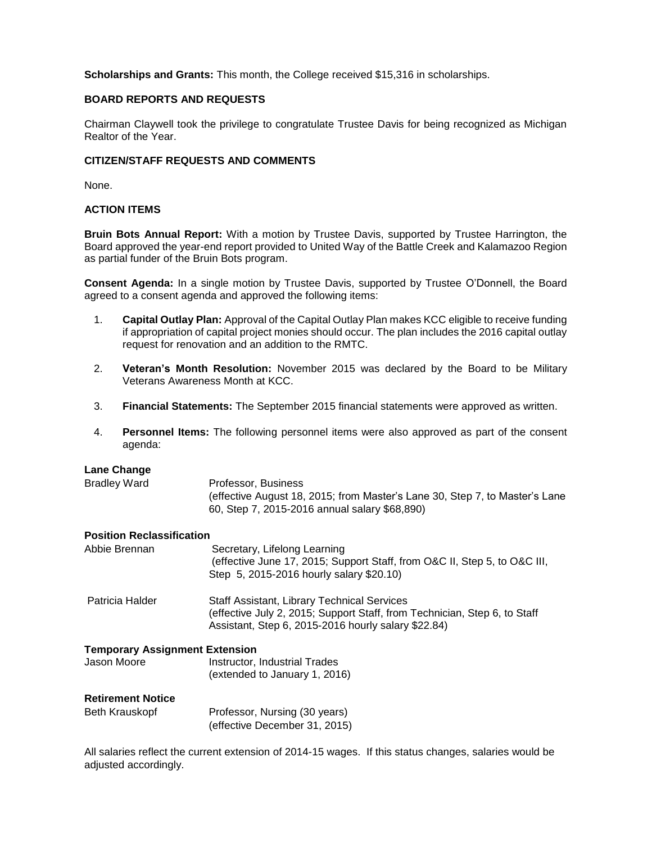**Scholarships and Grants:** This month, the College received \$15,316 in scholarships.

# **BOARD REPORTS AND REQUESTS**

Chairman Claywell took the privilege to congratulate Trustee Davis for being recognized as Michigan Realtor of the Year.

## **CITIZEN/STAFF REQUESTS AND COMMENTS**

None.

## **ACTION ITEMS**

**Bruin Bots Annual Report:** With a motion by Trustee Davis, supported by Trustee Harrington, the Board approved the year-end report provided to United Way of the Battle Creek and Kalamazoo Region as partial funder of the Bruin Bots program.

**Consent Agenda:** In a single motion by Trustee Davis, supported by Trustee O'Donnell, the Board agreed to a consent agenda and approved the following items:

- 1. **Capital Outlay Plan:** Approval of the Capital Outlay Plan makes KCC eligible to receive funding if appropriation of capital project monies should occur. The plan includes the 2016 capital outlay request for renovation and an addition to the RMTC.
- 2. **Veteran's Month Resolution:** November 2015 was declared by the Board to be Military Veterans Awareness Month at KCC.
- 3. **Financial Statements:** The September 2015 financial statements were approved as written.
- 4. **Personnel Items:** The following personnel items were also approved as part of the consent agenda:

### **Lane Change**

| Bradley Ward | Professor, Business                                                         |
|--------------|-----------------------------------------------------------------------------|
|              | (effective August 18, 2015; from Master's Lane 30, Step 7, to Master's Lane |
|              | 60, Step 7, 2015-2016 annual salary \$68,890)                               |

#### **Position Reclassification**

| Abbie Brennan                                                                                                          | Secretary, Lifelong Learning<br>(effective June 17, 2015; Support Staff, from O&C II, Step 5, to O&C III,<br>Step 5, 2015-2016 hourly salary \$20.10)                                  |
|------------------------------------------------------------------------------------------------------------------------|----------------------------------------------------------------------------------------------------------------------------------------------------------------------------------------|
| Patricia Halder                                                                                                        | <b>Staff Assistant, Library Technical Services</b><br>(effective July 2, 2015; Support Staff, from Technician, Step 6, to Staff<br>Assistant, Step 6, 2015-2016 hourly salary \$22.84) |
| <b>Temporary Assignment Extension</b><br>Jason Moore<br>Instructor, Industrial Trades<br>(extended to January 1, 2016) |                                                                                                                                                                                        |
| <b>Retirement Notice</b>                                                                                               |                                                                                                                                                                                        |

| Beth Krauskopf | Professor, Nursing (30 years) |
|----------------|-------------------------------|
|                | (effective December 31, 2015) |

All salaries reflect the current extension of 2014-15 wages. If this status changes, salaries would be adjusted accordingly.